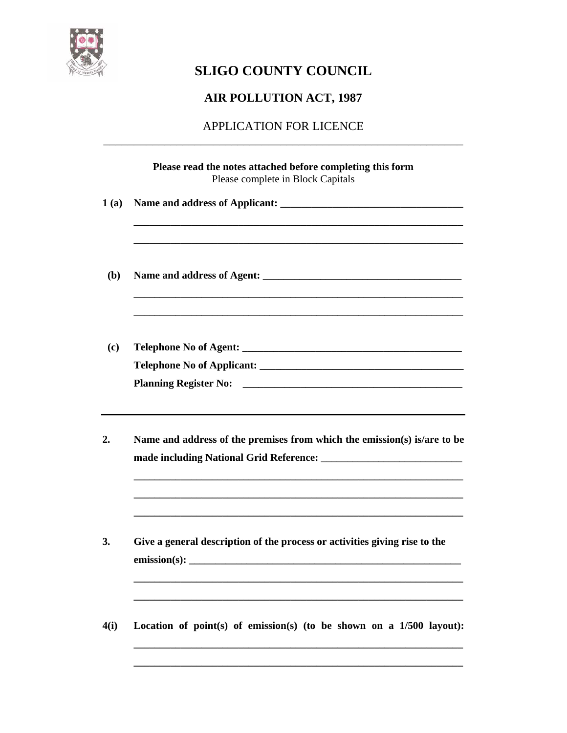

# **SLIGO COUNTY COUNCIL**

## **AIR POLLUTION ACT, 1987**

## APPLICATION FOR LICENCE \_\_\_\_\_\_\_\_\_\_\_\_\_\_\_\_\_\_\_\_\_\_\_\_\_\_\_\_\_\_\_\_\_\_\_\_\_\_\_\_\_\_\_\_\_\_\_\_\_\_\_\_\_\_\_\_\_\_\_

| Please complete in Block Capitals                                          |
|----------------------------------------------------------------------------|
|                                                                            |
|                                                                            |
|                                                                            |
|                                                                            |
| Name and address of the premises from which the emission(s) is/are to be   |
| Give a general description of the process or activities giving rise to the |
|                                                                            |

**\_\_\_\_\_\_\_\_\_\_\_\_\_\_\_\_\_\_\_\_\_\_\_\_\_\_\_\_\_\_\_\_\_\_\_\_\_\_\_\_\_\_\_\_\_\_\_\_\_\_\_\_\_\_\_\_\_\_\_\_\_\_\_**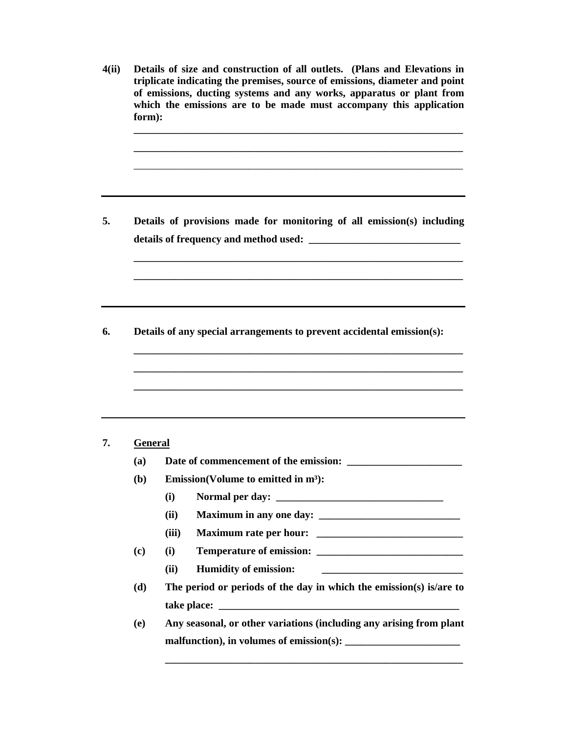**4(ii) Details of size and construction of all outlets. (Plans and Elevations in triplicate indicating the premises, source of emissions, diameter and point of emissions, ducting systems and any works, apparatus or plant from which the emissions are to be made must accompany this application form): \_\_\_\_\_\_\_\_\_\_\_\_\_\_\_\_\_\_\_\_\_\_\_\_\_\_\_\_\_\_\_\_\_\_\_\_\_\_\_\_\_\_\_\_\_\_\_\_\_\_\_\_\_\_\_\_\_\_\_\_\_\_\_ \_\_\_\_\_\_\_\_\_\_\_\_\_\_\_\_\_\_\_\_\_\_\_\_\_\_\_\_\_\_\_\_\_\_\_\_\_\_\_\_\_\_\_\_\_\_\_\_\_\_\_\_\_\_\_\_\_\_\_\_\_\_\_**  \_\_\_\_\_\_\_\_\_\_\_\_\_\_\_\_\_\_\_\_\_\_\_\_\_\_\_\_\_\_\_\_\_\_\_\_\_\_\_\_\_\_\_\_\_\_\_\_\_\_\_\_\_\_\_\_\_\_\_\_\_\_\_ **5. Details of provisions made for monitoring of all emission(s) including details of frequency and method used: \_\_\_\_\_\_\_\_\_\_\_\_\_\_\_\_\_\_\_\_\_\_\_\_\_\_\_\_\_ \_\_\_\_\_\_\_\_\_\_\_\_\_\_\_\_\_\_\_\_\_\_\_\_\_\_\_\_\_\_\_\_\_\_\_\_\_\_\_\_\_\_\_\_\_\_\_\_\_\_\_\_\_\_\_\_\_\_\_\_\_\_\_ \_\_\_\_\_\_\_\_\_\_\_\_\_\_\_\_\_\_\_\_\_\_\_\_\_\_\_\_\_\_\_\_\_\_\_\_\_\_\_\_\_\_\_\_\_\_\_\_\_\_\_\_\_\_\_\_\_\_\_\_\_\_\_ 6. Details of any special arrangements to prevent accidental emission(s): \_\_\_\_\_\_\_\_\_\_\_\_\_\_\_\_\_\_\_\_\_\_\_\_\_\_\_\_\_\_\_\_\_\_\_\_\_\_\_\_\_\_\_\_\_\_\_\_\_\_\_\_\_\_\_\_\_\_\_\_\_\_\_ \_\_\_\_\_\_\_\_\_\_\_\_\_\_\_\_\_\_\_\_\_\_\_\_\_\_\_\_\_\_\_\_\_\_\_\_\_\_\_\_\_\_\_\_\_\_\_\_\_\_\_\_\_\_\_\_\_\_\_\_\_\_\_ \_\_\_\_\_\_\_\_\_\_\_\_\_\_\_\_\_\_\_\_\_\_\_\_\_\_\_\_\_\_\_\_\_\_\_\_\_\_\_\_\_\_\_\_\_\_\_\_\_\_\_\_\_\_\_\_\_\_\_\_\_\_\_ 7. General (a) Date of commencement of the emission: \_\_\_\_\_\_\_\_\_\_\_\_\_\_\_\_\_\_\_\_\_\_ (b) Emission(Volume to emitted in m³): (i) Normal per day: \_\_\_\_\_\_\_\_\_\_\_\_\_\_\_\_\_\_\_\_\_\_\_\_\_\_\_\_\_\_\_\_ (ii) Maximum in any one day:**  $\blacksquare$ **(iii) Maximum rate per hour: \_\_\_\_\_\_\_\_\_\_\_\_\_\_\_\_\_\_\_\_\_\_\_\_\_\_\_\_ (c) (i) Temperature of emission: \_\_\_\_\_\_\_\_\_\_\_\_\_\_\_\_\_\_\_\_\_\_\_\_\_\_\_\_ (ii) Humidity of emission: \_\_\_\_\_\_\_\_\_\_\_\_\_\_\_\_\_\_\_\_\_\_\_\_\_\_\_ (d) The period or periods of the day in which the emission(s) is/are to take place: \_\_\_\_\_\_\_\_\_\_\_\_\_\_\_\_\_\_\_\_\_\_\_\_\_\_\_\_\_\_\_\_\_\_\_\_\_\_\_\_\_\_\_\_\_\_ (e) Any seasonal, or other variations (including any arising from plant malfunction), in volumes of emission(s): \_\_\_\_\_\_\_\_\_\_\_\_\_\_\_\_\_\_\_\_\_\_ \_\_\_\_\_\_\_\_\_\_\_\_\_\_\_\_\_\_\_\_\_\_\_\_\_\_\_\_\_\_\_\_\_\_\_\_\_\_\_\_\_\_\_\_\_\_\_\_\_\_\_\_\_\_\_\_\_**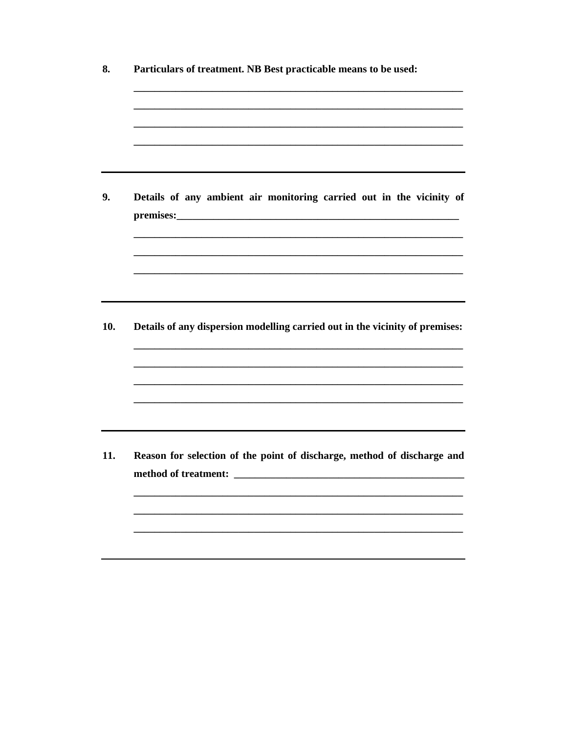| Details of any ambient air monitoring carried out in the vicinity of         |
|------------------------------------------------------------------------------|
| Details of any dispersion modelling carried out in the vicinity of premises: |
| Reason for selection of the point of discharge, method of discharge and      |
|                                                                              |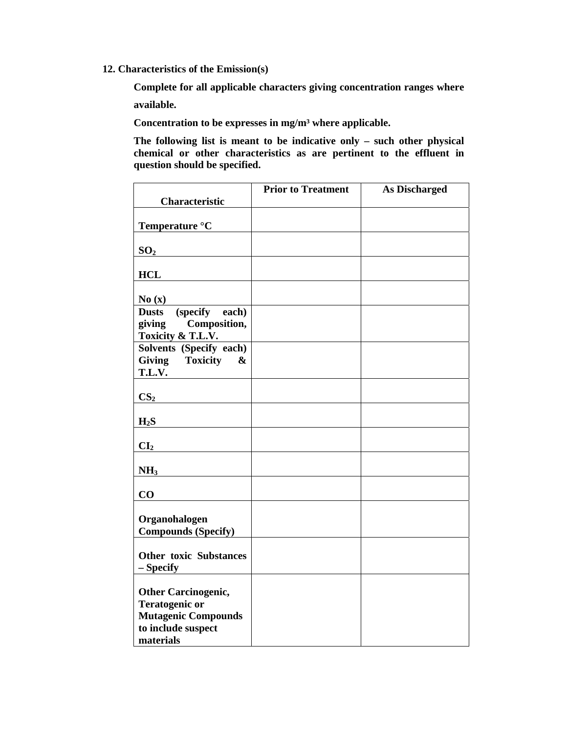**12. Characteristics of the Emission(s)** 

**Complete for all applicable characters giving concentration ranges where** 

**available.** 

**Concentration to be expresses in mg/m³ where applicable.** 

**The following list is meant to be indicative only – such other physical chemical or other characteristics as are pertinent to the effluent in question should be specified.** 

|                                                                                                         | <b>Prior to Treatment</b> | <b>As Discharged</b> |
|---------------------------------------------------------------------------------------------------------|---------------------------|----------------------|
| <b>Characteristic</b>                                                                                   |                           |                      |
| Temperature °C                                                                                          |                           |                      |
| SO <sub>2</sub>                                                                                         |                           |                      |
| <b>HCL</b>                                                                                              |                           |                      |
| No(x)                                                                                                   |                           |                      |
| (specify<br>each)<br><b>Dusts</b><br>giving<br>Composition,                                             |                           |                      |
| Toxicity & T.L.V.                                                                                       |                           |                      |
| Solvents (Specify each)                                                                                 |                           |                      |
| <b>Giving</b><br><b>Toxicity</b><br>&                                                                   |                           |                      |
| T.L.V.                                                                                                  |                           |                      |
| CS <sub>2</sub>                                                                                         |                           |                      |
| $H_2S$                                                                                                  |                           |                      |
| CI <sub>2</sub>                                                                                         |                           |                      |
| NH <sub>3</sub>                                                                                         |                           |                      |
| CO                                                                                                      |                           |                      |
| Organohalogen<br><b>Compounds (Specify)</b>                                                             |                           |                      |
| <b>Other toxic Substances</b><br>- Specify                                                              |                           |                      |
| <b>Other Carcinogenic,</b><br><b>Teratogenic or</b><br><b>Mutagenic Compounds</b><br>to include suspect |                           |                      |
| materials                                                                                               |                           |                      |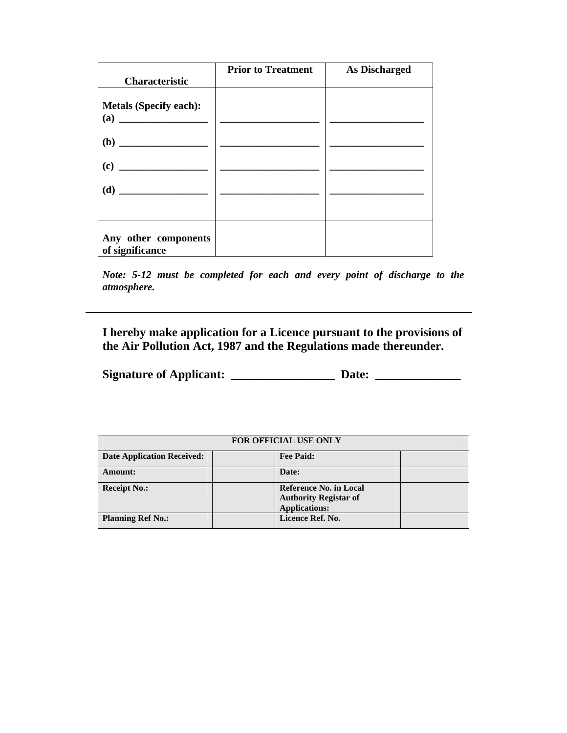| <b>Characteristic</b>                                       | <b>Prior to Treatment</b> | <b>As Discharged</b> |
|-------------------------------------------------------------|---------------------------|----------------------|
| <b>Metals (Specify each):</b><br>$\left( \mathbf{a}\right)$ |                           |                      |
|                                                             |                           |                      |
| (c)                                                         |                           |                      |
|                                                             |                           |                      |
| Any other components<br>of significance                     |                           |                      |

*Note: 5-12 must be completed for each and every point of discharge to the atmosphere.* 

**I hereby make application for a Licence pursuant to the provisions of the Air Pollution Act, 1987 and the Regulations made thereunder.** 

**Signature of Applicant: \_\_\_\_\_\_\_\_\_\_\_\_\_\_\_\_\_ Date: \_\_\_\_\_\_\_\_\_\_\_\_\_\_**

| FOR OFFICIAL USE ONLY             |  |                                                                                       |  |  |  |
|-----------------------------------|--|---------------------------------------------------------------------------------------|--|--|--|
| <b>Date Application Received:</b> |  | <b>Fee Paid:</b>                                                                      |  |  |  |
| <b>Amount:</b>                    |  | Date:                                                                                 |  |  |  |
| <b>Receipt No.:</b>               |  | <b>Reference No. in Local</b><br><b>Authority Registar of</b><br><b>Applications:</b> |  |  |  |
| <b>Planning Ref No.:</b>          |  | Licence Ref. No.                                                                      |  |  |  |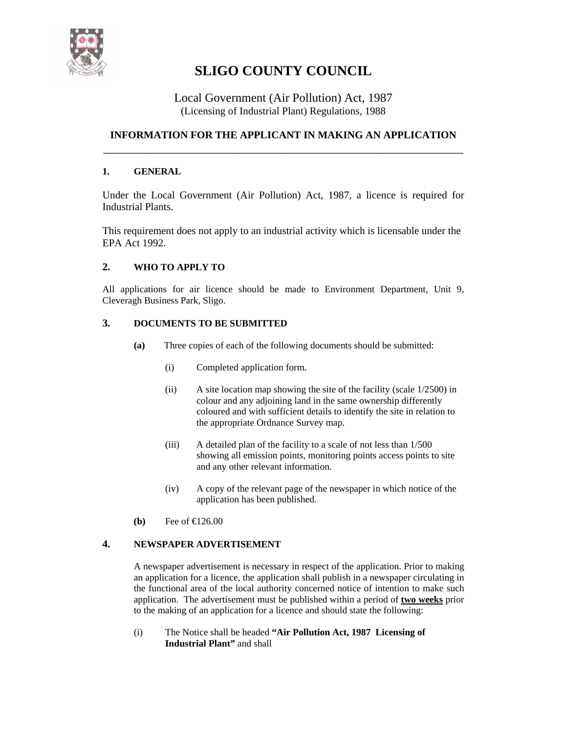

## **SLIGO COUNTY COUNCIL**

### Local Government (Air Pollution) Act, 1987 (Licensing of Industrial Plant) Regulations, 1988

## **INFORMATION FOR THE APPLICANT IN MAKING AN APPLICATION**  \_\_\_\_\_\_\_\_\_\_\_\_\_\_\_\_\_\_\_\_\_\_\_\_\_\_\_\_\_\_\_\_\_\_\_\_\_\_\_\_\_\_\_\_\_\_\_\_\_\_\_\_\_\_\_\_\_\_\_

### **1. GENERAL**

Under the Local Government (Air Pollution) Act, 1987, a licence is required for Industrial Plants.

This requirement does not apply to an industrial activity which is licensable under the EPA Act 1992.

### **2. WHO TO APPLY TO**

All applications for air licence should be made to Environment Department, Unit 9, Cleveragh Business Park, Sligo.

### **3. DOCUMENTS TO BE SUBMITTED**

- **(a)** Three copies of each of the following documents should be submitted:
	- (i) Completed application form.
	- (ii) A site location map showing the site of the facility (scale 1/2500) in colour and any adjoining land in the same ownership differently coloured and with sufficient details to identify the site in relation to the appropriate Ordnance Survey map.
	- (iii) A detailed plan of the facility to a scale of not less than 1/500 showing all emission points, monitoring points access points to site and any other relevant information.
	- (iv) A copy of the relevant page of the newspaper in which notice of the application has been published.
- **(b)** Fee of €126.00

### **4. NEWSPAPER ADVERTISEMENT**

A newspaper advertisement is necessary in respect of the application. Prior to making an application for a licence, the application shall publish in a newspaper circulating in the functional area of the local authority concerned notice of intention to make such application. The advertisement must be published within a period of **two weeks** prior to the making of an application for a licence and should state the following:

(i) The Notice shall be headed **"Air Pollution Act, 1987 Licensing of Industrial Plant"** and shall